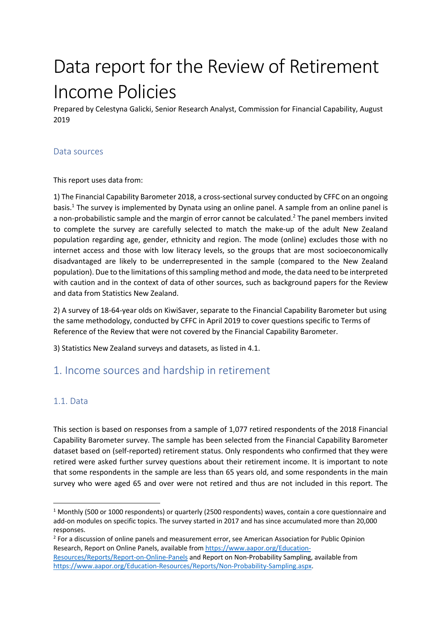# Data report for the Review of Retirement Income Policies

Prepared by Celestyna Galicki, Senior Research Analyst, Commission for Financial Capability, August 2019

#### Data sources

#### This report uses data from:

1) The Financial Capability Barometer 2018, a cross-sectional survey conducted by CFFC on an ongoing basis. <sup>1</sup> The survey is implemented by Dynata using an online panel. A sample from an online panel is a non-probabilistic sample and the margin of error cannot be calculated.<sup>2</sup> The panel members invited to complete the survey are carefully selected to match the make-up of the adult New Zealand population regarding age, gender, ethnicity and region. The mode (online) excludes those with no internet access and those with low literacy levels, so the groups that are most socioeconomically disadvantaged are likely to be underrepresented in the sample (compared to the New Zealand population). Due to the limitations of this sampling method and mode, the data need to be interpreted with caution and in the context of data of other sources, such as background papers for the Review and data from Statistics New Zealand.

2) A survey of 18-64-year olds on KiwiSaver, separate to the Financial Capability Barometer but using the same methodology, conducted by CFFC in April 2019 to cover questions specific to Terms of Reference of the Review that were not covered by the Financial Capability Barometer.

3) Statistics New Zealand surveys and datasets, as listed in 4.1.

# 1. Income sources and hardship in retirement

#### 1.1. Data

This section is based on responses from a sample of 1,077 retired respondents of the 2018 Financial Capability Barometer survey. The sample has been selected from the Financial Capability Barometer dataset based on (self-reported) retirement status. Only respondents who confirmed that they were retired were asked further survey questions about their retirement income. It is important to note that some respondents in the sample are less than 65 years old, and some respondents in the main survey who were aged 65 and over were not retired and thus are not included in this report. The

<sup>2</sup> For a discussion of online panels and measurement error, see American Association for Public Opinion Research, Report on Online Panels, available from https://www.aapor.org/Education-Resources/Reports/Report-on-Online-Panels and Report on Non-Probability Sampling, available from https://www.aapor.org/Education-Resources/Reports/Non-Probability-Sampling.aspx.

<sup>1</sup> Monthly (500 or 1000 respondents) or quarterly (2500 respondents) waves, contain a core questionnaire and add-on modules on specific topics. The survey started in 2017 and has since accumulated more than 20,000 responses.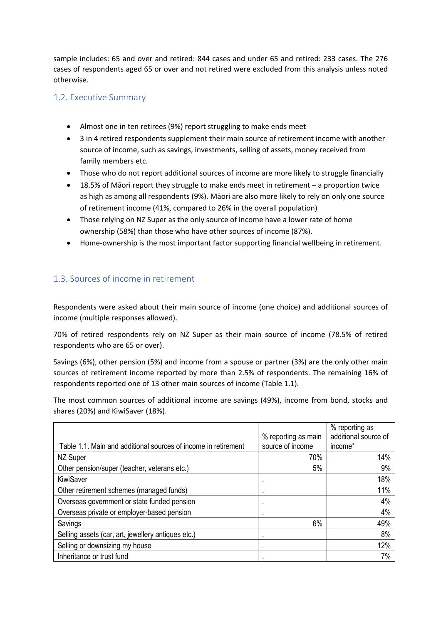sample includes: 65 and over and retired: 844 cases and under 65 and retired: 233 cases. The 276 cases of respondents aged 65 or over and not retired were excluded from this analysis unless noted otherwise.

#### 1.2. Executive Summary

- Almost one in ten retirees (9%) report struggling to make ends meet
- 3 in 4 retired respondents supplement their main source of retirement income with another source of income, such as savings, investments, selling of assets, money received from family members etc.
- Those who do not report additional sources of income are more likely to struggle financially
- 18.5% of Māori report they struggle to make ends meet in retirement a proportion twice as high as among all respondents (9%). Māori are also more likely to rely on only one source of retirement income (41%, compared to 26% in the overall population)
- Those relying on NZ Super as the only source of income have a lower rate of home ownership (58%) than those who have other sources of income (87%).
- Home-ownership is the most important factor supporting financial wellbeing in retirement.

# 1.3. Sources of income in retirement

Respondents were asked about their main source of income (one choice) and additional sources of income (multiple responses allowed).

70% of retired respondents rely on NZ Super as their main source of income (78.5% of retired respondents who are 65 or over).

Savings (6%), other pension (5%) and income from a spouse or partner (3%) are the only other main sources of retirement income reported by more than 2.5% of respondents. The remaining 16% of respondents reported one of 13 other main sources of income (Table 1.1).

The most common sources of additional income are savings (49%), income from bond, stocks and shares (20%) and KiwiSaver (18%).

|                                                                |                     | % reporting as       |
|----------------------------------------------------------------|---------------------|----------------------|
|                                                                | % reporting as main | additional source of |
| Table 1.1. Main and additional sources of income in retirement | source of income    | income*              |
| NZ Super                                                       | 70%                 | 14%                  |
| Other pension/super (teacher, veterans etc.)                   | 5%                  | 9%                   |
| KiwiSaver                                                      |                     | 18%                  |
| Other retirement schemes (managed funds)                       | ٠                   | 11%                  |
| Overseas government or state funded pension                    | ٠                   | 4%                   |
| Overseas private or employer-based pension                     |                     | 4%                   |
| Savings                                                        | 6%                  | 49%                  |
| Selling assets (car, art, jewellery antiques etc.)             |                     | 8%                   |
| Selling or downsizing my house                                 |                     | 12%                  |
| Inheritance or trust fund                                      |                     | 7%                   |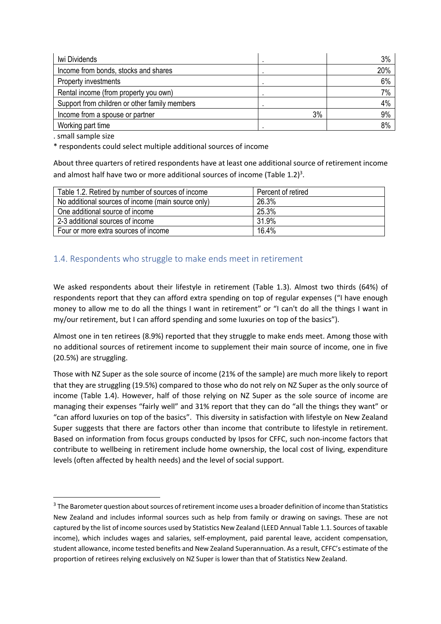| Iwi Dividends                                 |    | 3%  |
|-----------------------------------------------|----|-----|
| Income from bonds, stocks and shares          |    | 20% |
| Property investments                          |    | 6%  |
| Rental income (from property you own)         |    | 7%  |
| Support from children or other family members |    | 4%  |
| Income from a spouse or partner               | 3% | 9%  |
| Working part time                             |    | 8%  |

. small sample size

\* respondents could select multiple additional sources of income

About three quarters of retired respondents have at least one additional source of retirement income and almost half have two or more additional sources of income (Table  $1.2$ )<sup>3</sup>.

| Table 1.2. Retired by number of sources of income  | Percent of retired |
|----------------------------------------------------|--------------------|
| No additional sources of income (main source only) | 26.3%              |
| One additional source of income                    | 25.3%              |
| 2-3 additional sources of income                   | 31.9%              |
| Four or more extra sources of income               | 16.4%              |

## 1.4. Respondents who struggle to make ends meet in retirement

We asked respondents about their lifestyle in retirement (Table 1.3). Almost two thirds (64%) of respondents report that they can afford extra spending on top of regular expenses ("I have enough money to allow me to do all the things I want in retirement" or "I can't do all the things I want in my/our retirement, but I can afford spending and some luxuries on top of the basics").

Almost one in ten retirees (8.9%) reported that they struggle to make ends meet. Among those with no additional sources of retirement income to supplement their main source of income, one in five (20.5%) are struggling.

Those with NZ Super as the sole source of income (21% of the sample) are much more likely to report that they are struggling (19.5%) compared to those who do not rely on NZ Super as the only source of income (Table 1.4). However, half of those relying on NZ Super as the sole source of income are managing their expenses "fairly well" and 31% report that they can do "all the things they want" or "can afford luxuries on top of the basics". This diversity in satisfaction with lifestyle on New Zealand Super suggests that there are factors other than income that contribute to lifestyle in retirement. Based on information from focus groups conducted by Ipsos for CFFC, such non-income factors that contribute to wellbeing in retirement include home ownership, the local cost of living, expenditure levels (often affected by health needs) and the level of social support.

<sup>&</sup>lt;sup>3</sup> The Barometer question about sources of retirement income uses a broader definition of income than Statistics New Zealand and includes informal sources such as help from family or drawing on savings. These are not captured by the list of income sources used by Statistics New Zealand (LEED Annual Table 1.1. Sources of taxable income), which includes wages and salaries, self-employment, paid parental leave, accident compensation, student allowance, income tested benefits and New Zealand Superannuation. As a result, CFFC's estimate of the proportion of retirees relying exclusively on NZ Super is lower than that of Statistics New Zealand.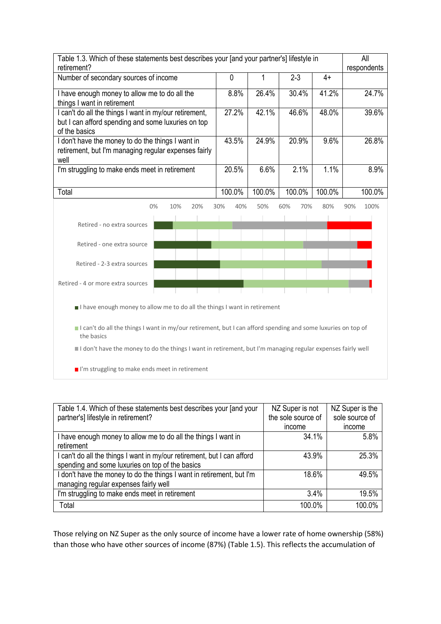| Table 1.3. Which of these statements best describes your [and your partner's] lifestyle in<br>retirement?                     |                                                                                                              |        |            |        | All<br>respondents |
|-------------------------------------------------------------------------------------------------------------------------------|--------------------------------------------------------------------------------------------------------------|--------|------------|--------|--------------------|
| Number of secondary sources of income                                                                                         | 0                                                                                                            |        | $2 - 3$    | $4+$   |                    |
| I have enough money to allow me to do all the<br>things I want in retirement                                                  | 8.8%                                                                                                         | 26.4%  | 30.4%      | 41.2%  | 24.7%              |
| I can't do all the things I want in my/our retirement,<br>but I can afford spending and some luxuries on top<br>of the basics | 27.2%                                                                                                        | 42.1%  | 46.6%      | 48.0%  | 39.6%              |
| I don't have the money to do the things I want in<br>retirement, but I'm managing regular expenses fairly<br>well             | 43.5%                                                                                                        | 24.9%  | 20.9%      | 9.6%   | 26.8%              |
| I'm struggling to make ends meet in retirement                                                                                | 20.5%                                                                                                        | 6.6%   | 2.1%       | 1.1%   | 8.9%               |
| Total                                                                                                                         | 100.0%                                                                                                       | 100.0% | 100.0%     | 100.0% | 100.0%             |
| 0%<br>10%<br>20%                                                                                                              | 30%<br>40%                                                                                                   | 50%    | 60%<br>70% | 80%    | 90%<br>100%        |
| Retired - no extra sources                                                                                                    |                                                                                                              |        |            |        |                    |
| Retired - one extra source                                                                                                    |                                                                                                              |        |            |        |                    |
| Retired - 2-3 extra sources                                                                                                   |                                                                                                              |        |            |        |                    |
| Retired - 4 or more extra sources                                                                                             |                                                                                                              |        |            |        |                    |
| I have enough money to allow me to do all the things I want in retirement                                                     |                                                                                                              |        |            |        |                    |
|                                                                                                                               | I can't do all the things I want in my/our retirement, but I can afford spending and some luxuries on top of |        |            |        |                    |

I can't do all the things I want in my/our retirement, but I can afford spending and some luxuries on top of the basics

I don't have the money to do the things I want in retirement, but I'm managing regular expenses fairly well

I'm struggling to make ends meet in retirement

| Table 1.4. Which of these statements best describes your [and your                                                         | NZ Super is not    | NZ Super is the |
|----------------------------------------------------------------------------------------------------------------------------|--------------------|-----------------|
| partner's] lifestyle in retirement?                                                                                        | the sole source of | sole source of  |
|                                                                                                                            | income             | income          |
| I have enough money to allow me to do all the things I want in<br>retirement                                               | 34.1%              | 5.8%            |
| I can't do all the things I want in my/our retirement, but I can afford<br>spending and some luxuries on top of the basics | 43.9%              | 25.3%           |
| I don't have the money to do the things I want in retirement, but I'm<br>managing regular expenses fairly well             | 18.6%              | 49.5%           |
| I'm struggling to make ends meet in retirement                                                                             | 3.4%               | 19.5%           |
| Total                                                                                                                      | 100.0%             | 100.0%          |

Those relying on NZ Super as the only source of income have a lower rate of home ownership (58%) than those who have other sources of income (87%) (Table 1.5). This reflects the accumulation of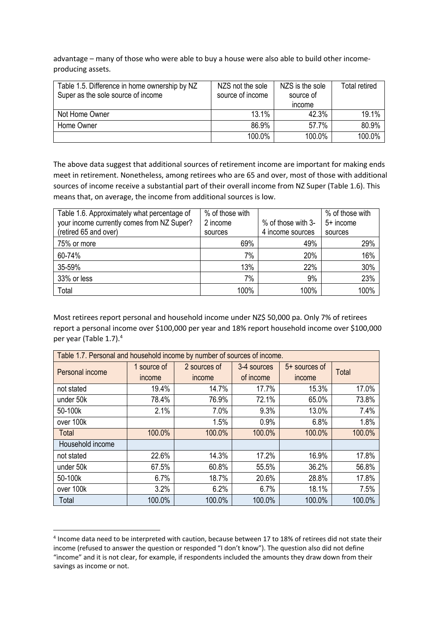advantage – many of those who were able to buy a house were also able to build other incomeproducing assets.

| Table 1.5. Difference in home ownership by NZ<br>Super as the sole source of income | NZS not the sole<br>source of income | NZS is the sole<br>source of<br>income | <b>Total retired</b> |
|-------------------------------------------------------------------------------------|--------------------------------------|----------------------------------------|----------------------|
| Not Home Owner                                                                      | 13.1%                                | 42.3%                                  | 19.1%                |
| Home Owner                                                                          | 86.9%                                | 57.7%                                  | 80.9%                |
|                                                                                     | 100.0%                               | 100.0%                                 | 100.0%               |

The above data suggest that additional sources of retirement income are important for making ends meet in retirement. Nonetheless, among retirees who are 65 and over, most of those with additional sources of income receive a substantial part of their overall income from NZ Super (Table 1.6). This means that, on average, the income from additional sources is low.

| Table 1.6. Approximately what percentage of | % of those with |                    | % of those with |
|---------------------------------------------|-----------------|--------------------|-----------------|
| your income currently comes from NZ Super?  | 2 income        | % of those with 3- | $5+$ income     |
| (retired 65 and over)                       | sources         | 4 income sources   | sources         |
| 75% or more                                 | 69%             | 49%                | 29%             |
| 60-74%                                      | 7%              | 20%                | 16%             |
| 35-59%                                      | 13%             | 22%                | 30%             |
| 33% or less                                 | 7%              | 9%                 | 23%             |
| Total                                       | 100%            | 100%               | 100%            |

Most retirees report personal and household income under NZ\$ 50,000 pa. Only 7% of retirees report a personal income over \$100,000 per year and 18% report household income over \$100,000 per year (Table 1.7).<sup>4</sup>

| Table 1.7. Personal and household income by number of sources of income. |             |              |             |                 |              |
|--------------------------------------------------------------------------|-------------|--------------|-------------|-----------------|--------------|
| Personal income                                                          | 1 source of | 2 sources of | 3-4 sources | $5+$ sources of | <b>Total</b> |
|                                                                          | income      | income       | of income   | income          |              |
| not stated                                                               | 19.4%       | 14.7%        | 17.7%       | 15.3%           | 17.0%        |
| under 50k                                                                | 78.4%       | 76.9%        | 72.1%       | 65.0%           | 73.8%        |
| 50-100k                                                                  | 2.1%        | 7.0%         | 9.3%        | 13.0%           | 7.4%         |
| over 100k                                                                |             | 1.5%         | 0.9%        | 6.8%            | 1.8%         |
| Total                                                                    | 100.0%      | 100.0%       | 100.0%      | 100.0%          | 100.0%       |
| Household income                                                         |             |              |             |                 |              |
| not stated                                                               | 22.6%       | 14.3%        | 17.2%       | 16.9%           | 17.8%        |
| under 50k                                                                | 67.5%       | 60.8%        | 55.5%       | 36.2%           | 56.8%        |
| 50-100k                                                                  | 6.7%        | 18.7%        | 20.6%       | 28.8%           | 17.8%        |
| over 100k                                                                | 3.2%        | 6.2%         | 6.7%        | 18.1%           | 7.5%         |
| Total                                                                    | 100.0%      | 100.0%       | 100.0%      | 100.0%          | 100.0%       |

<sup>4</sup> Income data need to be interpreted with caution, because between 17 to 18% of retirees did not state their income (refused to answer the question or responded "I don't know"). The question also did not define "income" and it is not clear, for example, if respondents included the amounts they draw down from their savings as income or not.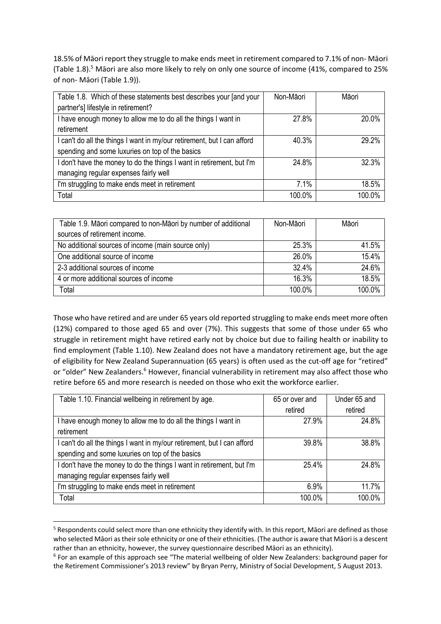18.5% of Māori report they struggle to make ends meet in retirement compared to 7.1% of non- Māori (Table 1.8). <sup>5</sup> Māori are also more likely to rely on only one source of income (41%, compared to 25% of non- Māori (Table 1.9)).

| Table 1.8. Which of these statements best describes your [and your      | Non-Māori | Māori  |
|-------------------------------------------------------------------------|-----------|--------|
| partner's] lifestyle in retirement?                                     |           |        |
| I have enough money to allow me to do all the things I want in          | 27.8%     | 20.0%  |
| retirement                                                              |           |        |
| I can't do all the things I want in my/our retirement, but I can afford | 40.3%     | 29.2%  |
| spending and some luxuries on top of the basics                         |           |        |
| I don't have the money to do the things I want in retirement, but I'm   | 24.8%     | 32.3%  |
| managing regular expenses fairly well                                   |           |        |
| I'm struggling to make ends meet in retirement                          | 7.1%      | 18.5%  |
| Total                                                                   | 100.0%    | 100.0% |

| Table 1.9. Māori compared to non-Māori by number of additional | Non-Māori | Māori  |
|----------------------------------------------------------------|-----------|--------|
| sources of retirement income.                                  |           |        |
| No additional sources of income (main source only)             | 25.3%     | 41.5%  |
| One additional source of income                                | 26.0%     | 15.4%  |
| 2-3 additional sources of income                               | 32.4%     | 24.6%  |
| 4 or more additional sources of income                         | 16.3%     | 18.5%  |
| Total                                                          | 100.0%    | 100.0% |

Those who have retired and are under 65 years old reported struggling to make ends meet more often (12%) compared to those aged 65 and over (7%). This suggests that some of those under 65 who struggle in retirement might have retired early not by choice but due to failing health or inability to find employment (Table 1.10). New Zealand does not have a mandatory retirement age, but the age of eligibility for New Zealand Superannuation (65 years) is often used as the cut-off age for "retired" or "older" New Zealanders.<sup>6</sup> However, financial vulnerability in retirement may also affect those who retire before 65 and more research is needed on those who exit the workforce earlier.

| Table 1.10. Financial wellbeing in retirement by age.                   | 65 or over and | Under 65 and |
|-------------------------------------------------------------------------|----------------|--------------|
|                                                                         | retired        | retired      |
| I have enough money to allow me to do all the things I want in          | 27.9%          | 24.8%        |
| retirement                                                              |                |              |
| I can't do all the things I want in my/our retirement, but I can afford | 39.8%          | 38.8%        |
| spending and some luxuries on top of the basics                         |                |              |
| I don't have the money to do the things I want in retirement, but I'm   | 25.4%          | 24.8%        |
| managing regular expenses fairly well                                   |                |              |
| I'm struggling to make ends meet in retirement                          | 6.9%           | 11.7%        |
| Total                                                                   | 100.0%         | 100.0%       |

<sup>&</sup>lt;sup>5</sup> Respondents could select more than one ethnicity they identify with. In this report, Māori are defined as those who selected Māori as their sole ethnicity or one of their ethnicities. (The author is aware that Māori is a descent rather than an ethnicity, however, the survey questionnaire described Māori as an ethnicity).

 $6$  For an example of this approach see "The material wellbeing of older New Zealanders: background paper for the Retirement Commissioner's 2013 review" by Bryan Perry, Ministry of Social Development, 5 August 2013.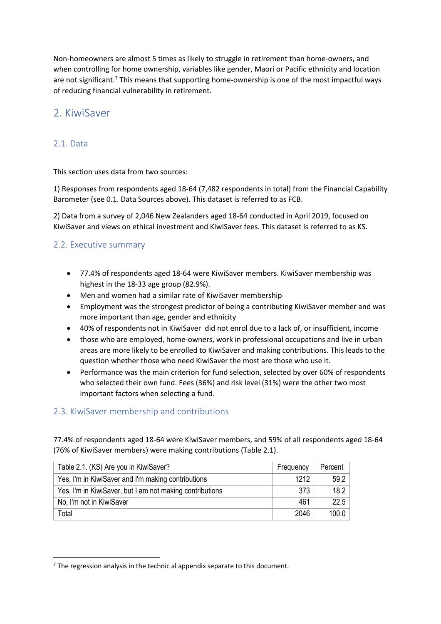Non-homeowners are almost 5 times as likely to struggle in retirement than home-owners, and when controlling for home ownership, variables like gender, Maori or Pacific ethnicity and location are not significant.<sup>7</sup> This means that supporting home-ownership is one of the most impactful ways of reducing financial vulnerability in retirement.

# 2. KiwiSaver

#### 2.1. Data

This section uses data from two sources:

1) Responses from respondents aged 18-64 (7,482 respondents in total) from the Financial Capability Barometer (see 0.1. Data Sources above). This dataset is referred to as FCB.

2) Data from a survey of 2,046 New Zealanders aged 18-64 conducted in April 2019, focused on KiwiSaver and views on ethical investment and KiwiSaver fees. This dataset is referred to as KS.

#### 2.2. Executive summary

- 77.4% of respondents aged 18-64 were KiwiSaver members. KiwiSaver membership was highest in the 18-33 age group (82.9%).
- Men and women had a similar rate of KiwiSaver membership
- Employment was the strongest predictor of being a contributing KiwiSaver member and was more important than age, gender and ethnicity
- 40% of respondents not in KiwiSaver did not enrol due to a lack of, or insufficient, income
- those who are employed, home-owners, work in professional occupations and live in urban areas are more likely to be enrolled to KiwiSaver and making contributions. This leads to the question whether those who need KiwiSaver the most are those who use it.
- Performance was the main criterion for fund selection, selected by over 60% of respondents who selected their own fund. Fees (36%) and risk level (31%) were the other two most important factors when selecting a fund.

#### 2.3. KiwiSaver membership and contributions

77.4% of respondents aged 18-64 were KiwiSaver members, and 59% of all respondents aged 18-64 (76% of KiwiSaver members) were making contributions (Table 2.1).

| Table 2.1. (KS) Are you in KiwiSaver?                    | Frequency | Percent |
|----------------------------------------------------------|-----------|---------|
| Yes, I'm in KiwiSaver and I'm making contributions       | 1212      | 59.2    |
| Yes, I'm in KiwiSaver, but I am not making contributions | 373       | 18.2    |
| No, I'm not in KiwiSaver                                 | 461       | 22.5    |
| Total                                                    | 2046      | 100.0   |

 $<sup>7</sup>$  The regression analysis in the technic al appendix separate to this document.</sup>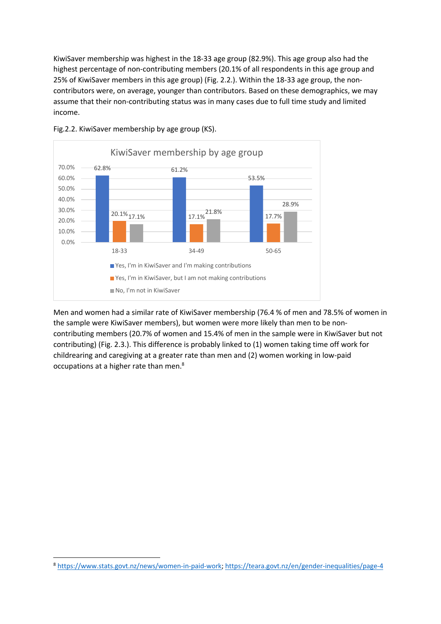KiwiSaver membership was highest in the 18-33 age group (82.9%). This age group also had the highest percentage of non-contributing members (20.1% of all respondents in this age group and 25% of KiwiSaver members in this age group) (Fig. 2.2.). Within the 18-33 age group, the noncontributors were, on average, younger than contributors. Based on these demographics, we may assume that their non-contributing status was in many cases due to full time study and limited income.



Fig.2.2. KiwiSaver membership by age group (KS).

Men and women had a similar rate of KiwiSaver membership (76.4 % of men and 78.5% of women in the sample were KiwiSaver members), but women were more likely than men to be noncontributing members (20.7% of women and 15.4% of men in the sample were in KiwiSaver but not contributing) (Fig. 2.3.). This difference is probably linked to (1) women taking time off work for childrearing and caregiving at a greater rate than men and (2) women working in low-paid occupations at a higher rate than men.8

<sup>8</sup> https://www.stats.govt.nz/news/women-in-paid-work; https://teara.govt.nz/en/gender-inequalities/page-4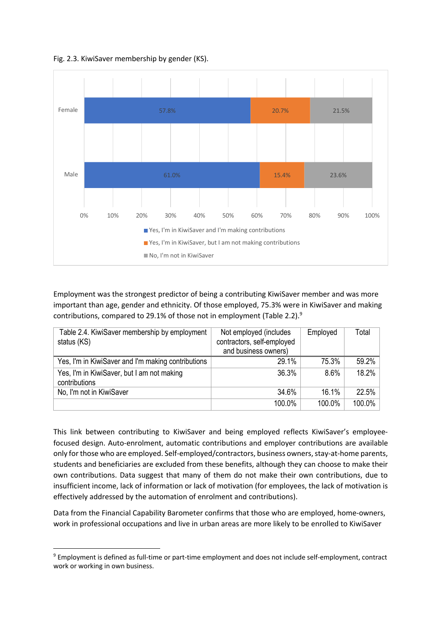Fig. 2.3. KiwiSaver membership by gender (KS).



Employment was the strongest predictor of being a contributing KiwiSaver member and was more important than age, gender and ethnicity. Of those employed, 75.3% were in KiwiSaver and making contributions, compared to 29.1% of those not in employment (Table 2.2). $9$ 

| Table 2.4. KiwiSaver membership by employment<br>status (KS) | Not employed (includes<br>contractors, self-employed | Employed | Total     |
|--------------------------------------------------------------|------------------------------------------------------|----------|-----------|
|                                                              | and business owners)                                 |          |           |
| Yes, I'm in KiwiSaver and I'm making contributions           | 29.1%                                                | 75.3%    | 59.2%     |
| Yes, I'm in KiwiSaver, but I am not making                   | 36.3%                                                | 8.6%     | 18.2%     |
| contributions                                                |                                                      |          |           |
| No, I'm not in KiwiSaver                                     | 34.6%                                                | 16.1%    | 22.5%     |
|                                                              | 100.0%                                               | 100.0%   | $100.0\%$ |

This link between contributing to KiwiSaver and being employed reflects KiwiSaver's employeefocused design. Auto-enrolment, automatic contributions and employer contributions are available only for those who are employed. Self-employed/contractors, business owners, stay-at-home parents, students and beneficiaries are excluded from these benefits, although they can choose to make their own contributions. Data suggest that many of them do not make their own contributions, due to insufficient income, lack of information or lack of motivation (for employees, the lack of motivation is effectively addressed by the automation of enrolment and contributions).

Data from the Financial Capability Barometer confirms that those who are employed, home-owners, work in professional occupations and live in urban areas are more likely to be enrolled to KiwiSaver

<sup>&</sup>lt;sup>9</sup> Employment is defined as full-time or part-time employment and does not include self-employment, contract work or working in own business.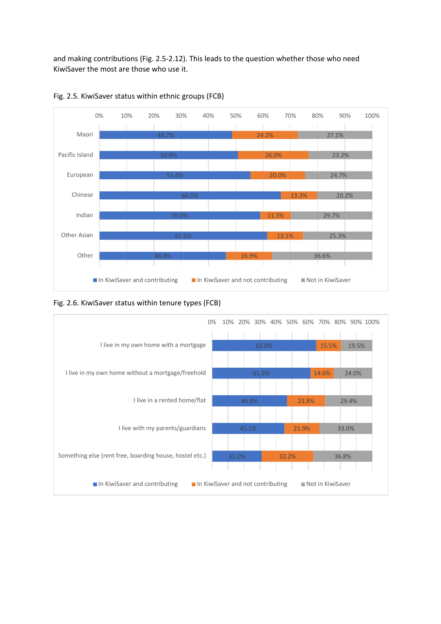and making contributions (Fig. 2.5-2.12). This leads to the question whether those who need KiwiSaver the most are those who use it.





#### Fig. 2.6. KiwiSaver status within tenure types (FCB)

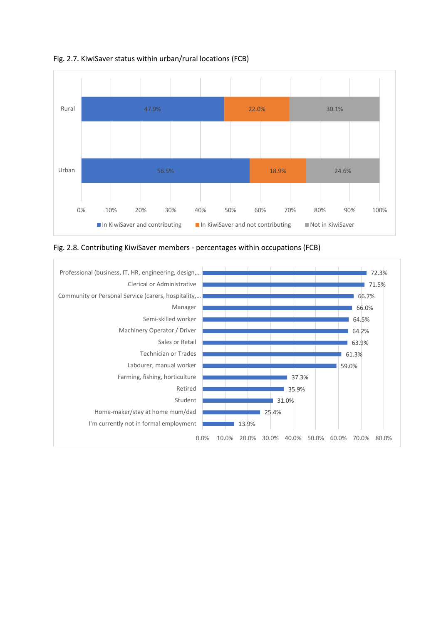

Fig. 2.7. KiwiSaver status within urban/rural locations (FCB)



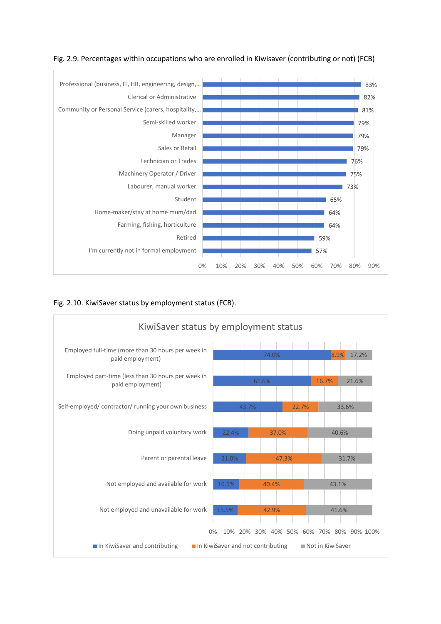



Fig. 2.10. KiwiSaver status by employment status (FCB).

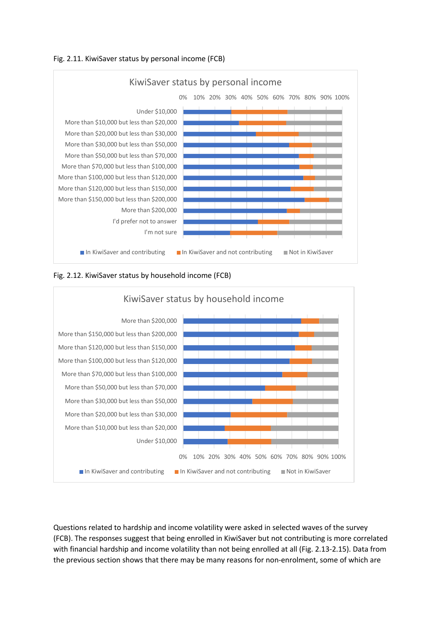







Questions related to hardship and income volatility were asked in selected waves of the survey (FCB). The responses suggest that being enrolled in KiwiSaver but not contributing is more correlated with financial hardship and income volatility than not being enrolled at all (Fig. 2.13-2.15). Data from the previous section shows that there may be many reasons for non-enrolment, some of which are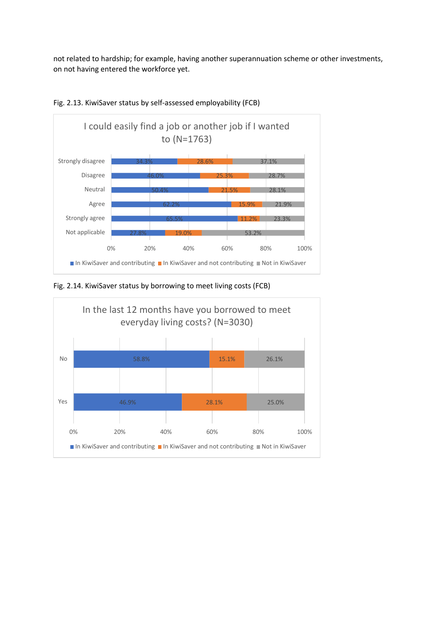not related to hardship; for example, having another superannuation scheme or other investments, on not having entered the workforce yet.





Fig. 2.14. KiwiSaver status by borrowing to meet living costs (FCB)

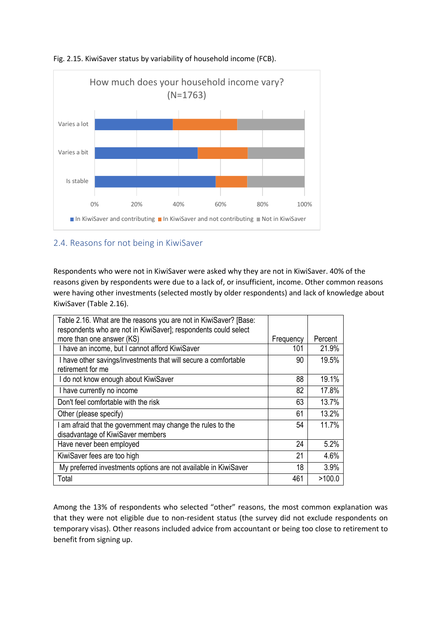



#### 2.4. Reasons for not being in KiwiSaver

Respondents who were not in KiwiSaver were asked why they are not in KiwiSaver. 40% of the reasons given by respondents were due to a lack of, or insufficient, income. Other common reasons were having other investments (selected mostly by older respondents) and lack of knowledge about KiwiSaver (Table 2.16).

| Table 2.16. What are the reasons you are not in KiwiSaver? [Base:<br>respondents who are not in KiwiSaver]; respondents could select |           |         |
|--------------------------------------------------------------------------------------------------------------------------------------|-----------|---------|
| more than one answer (KS)                                                                                                            | Frequency | Percent |
| I have an income, but I cannot afford KiwiSaver                                                                                      | 101       | 21.9%   |
| I have other savings/investments that will secure a comfortable<br>retirement for me                                                 | 90        | 19.5%   |
| I do not know enough about KiwiSaver                                                                                                 | 88        | 19.1%   |
| I have currently no income                                                                                                           | 82        | 17.8%   |
| Don't feel comfortable with the risk                                                                                                 | 63        | 13.7%   |
| Other (please specify)                                                                                                               | 61        | 13.2%   |
| I am afraid that the government may change the rules to the<br>disadvantage of KiwiSaver members                                     | 54        | 11.7%   |
| Have never been employed                                                                                                             | 24        | 5.2%    |
| KiwiSaver fees are too high                                                                                                          | 21        | 4.6%    |
| My preferred investments options are not available in KiwiSaver                                                                      | 18        | 3.9%    |
| Total                                                                                                                                | 461       | >100.0  |

Among the 13% of respondents who selected "other" reasons, the most common explanation was that they were not eligible due to non-resident status (the survey did not exclude respondents on temporary visas). Other reasons included advice from accountant or being too close to retirement to benefit from signing up.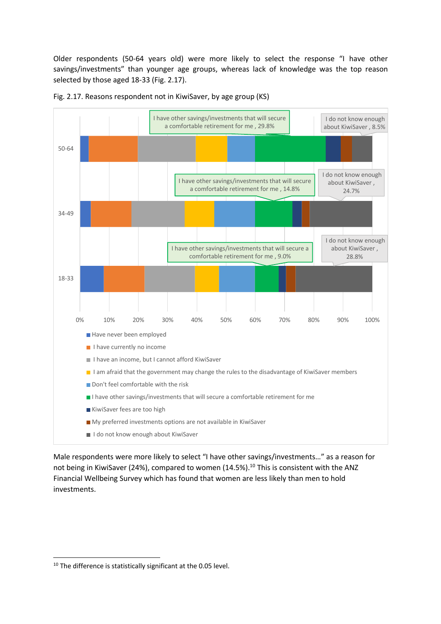Older respondents (50-64 years old) were more likely to select the response "I have other savings/investments" than younger age groups, whereas lack of knowledge was the top reason selected by those aged 18-33 (Fig. 2.17).



Fig. 2.17. Reasons respondent not in KiwiSaver, by age group (KS)

Male respondents were more likely to select "I have other savings/investments…" as a reason for not being in KiwiSaver (24%), compared to women (14.5%).<sup>10</sup> This is consistent with the ANZ Financial Wellbeing Survey which has found that women are less likely than men to hold investments.

<sup>&</sup>lt;sup>10</sup> The difference is statistically significant at the 0.05 level.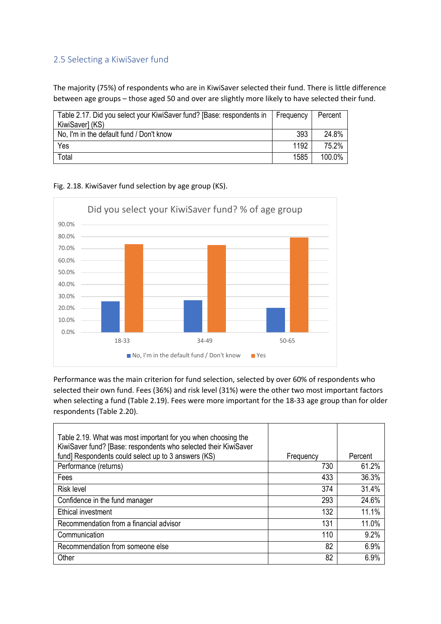### 2.5 Selecting a KiwiSaver fund

The majority (75%) of respondents who are in KiwiSaver selected their fund. There is little difference between age groups – those aged 50 and over are slightly more likely to have selected their fund.

| Table 2.17. Did you select your KiwiSaver fund? [Base: respondents in   Frequency<br>KiwiSaver] (KS) |      | Percent |
|------------------------------------------------------------------------------------------------------|------|---------|
| No, I'm in the default fund / Don't know                                                             | 393  | 24.8%   |
| Yes                                                                                                  | 1192 | 75.2%   |
| Total                                                                                                | 1585 | 100.0%  |

Fig. 2.18. KiwiSaver fund selection by age group (KS).



Performance was the main criterion for fund selection, selected by over 60% of respondents who selected their own fund. Fees (36%) and risk level (31%) were the other two most important factors when selecting a fund (Table 2.19). Fees were more important for the 18-33 age group than for older respondents (Table 2.20).

| Table 2.19. What was most important for you when choosing the<br>KiwiSaver fund? [Base: respondents who selected their KiwiSaver |           |         |
|----------------------------------------------------------------------------------------------------------------------------------|-----------|---------|
| fund] Respondents could select up to 3 answers (KS)                                                                              | Frequency | Percent |
| Performance (returns)                                                                                                            | 730       | 61.2%   |
| Fees                                                                                                                             | 433       | 36.3%   |
| Risk level                                                                                                                       | 374       | 31.4%   |
| Confidence in the fund manager                                                                                                   | 293       | 24.6%   |
| Ethical investment                                                                                                               | 132       | 11.1%   |
| Recommendation from a financial advisor                                                                                          | 131       | 11.0%   |
| Communication                                                                                                                    | 110       | 9.2%    |
| Recommendation from someone else                                                                                                 | 82        | 6.9%    |
| Other                                                                                                                            | 82        | 6.9%    |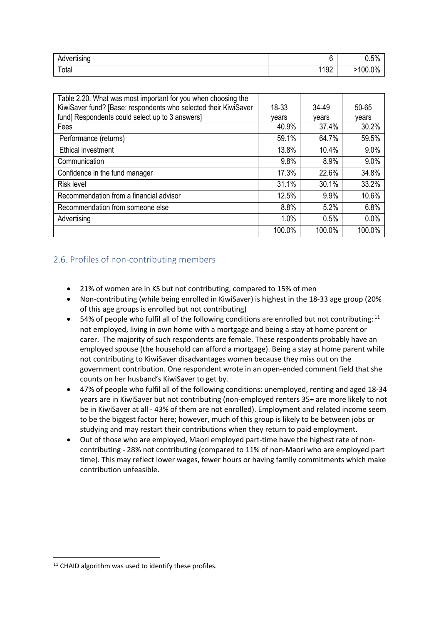| $\cdot$ .<br>Advertising<br>w |     | 0.5%       |
|-------------------------------|-----|------------|
| Total                         | 192 | $.100.0\%$ |

| Table 2.20. What was most important for you when choosing the   |        |        |        |
|-----------------------------------------------------------------|--------|--------|--------|
| KiwiSaver fund? [Base: respondents who selected their KiwiSaver | 18-33  | 34-49  | 50-65  |
| fund] Respondents could select up to 3 answers]                 | vears  | vears  | vears  |
| Fees                                                            | 40.9%  | 37.4%  | 30.2%  |
| Performance (returns)                                           | 59.1%  | 64.7%  | 59.5%  |
| Ethical investment                                              | 13.8%  | 10.4%  | 9.0%   |
| Communication                                                   | 9.8%   | 8.9%   | 9.0%   |
| Confidence in the fund manager                                  | 17.3%  | 22.6%  | 34.8%  |
| <b>Risk level</b>                                               | 31.1%  | 30.1%  | 33.2%  |
| Recommendation from a financial advisor                         | 12.5%  | 9.9%   | 10.6%  |
| Recommendation from someone else                                | 8.8%   | 5.2%   | 6.8%   |
| Advertising                                                     | 1.0%   | 0.5%   | 0.0%   |
|                                                                 | 100.0% | 100.0% | 100.0% |

## 2.6. Profiles of non-contributing members

- 21% of women are in KS but not contributing, compared to 15% of men
- Non-contributing (while being enrolled in KiwiSaver) is highest in the 18-33 age group (20% of this age groups is enrolled but not contributing)
- 54% of people who fulfil all of the following conditions are enrolled but not contributing:  $^{11}$ not employed, living in own home with a mortgage and being a stay at home parent or carer. The majority of such respondents are female. These respondents probably have an employed spouse (the household can afford a mortgage). Being a stay at home parent while not contributing to KiwiSaver disadvantages women because they miss out on the government contribution. One respondent wrote in an open-ended comment field that she counts on her husband's KiwiSaver to get by.
- 47% of people who fulfil all of the following conditions: unemployed, renting and aged 18-34 years are in KiwiSaver but not contributing (non-employed renters 35+ are more likely to not be in KiwiSaver at all - 43% of them are not enrolled). Employment and related income seem to be the biggest factor here; however, much of this group is likely to be between jobs or studying and may restart their contributions when they return to paid employment.
- Out of those who are employed, Maori employed part-time have the highest rate of noncontributing - 28% not contributing (compared to 11% of non-Maori who are employed part time). This may reflect lower wages, fewer hours or having family commitments which make contribution unfeasible.

 $11$  CHAID algorithm was used to identify these profiles.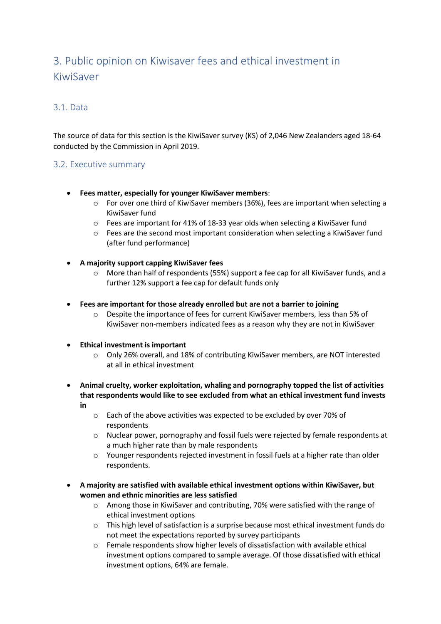# 3. Public opinion on Kiwisaver fees and ethical investment in KiwiSaver

#### 3.1. Data

The source of data for this section is the KiwiSaver survey (KS) of 2,046 New Zealanders aged 18-64 conducted by the Commission in April 2019.

#### 3.2. Executive summary

- **Fees matter, especially for younger KiwiSaver members**:
	- o For over one third of KiwiSaver members (36%), fees are important when selecting a KiwiSaver fund
	- $\circ$  Fees are important for 41% of 18-33 year olds when selecting a KiwiSaver fund
	- $\circ$  Fees are the second most important consideration when selecting a KiwiSaver fund (after fund performance)
- **A majority support capping KiwiSaver fees**
	- o More than half of respondents (55%) support a fee cap for all KiwiSaver funds, and a further 12% support a fee cap for default funds only
- **Fees are important for those already enrolled but are not a barrier to joining**
	- o Despite the importance of fees for current KiwiSaver members, less than 5% of KiwiSaver non-members indicated fees as a reason why they are not in KiwiSaver
- **Ethical investment is important**
	- o Only 26% overall, and 18% of contributing KiwiSaver members, are NOT interested at all in ethical investment
- **Animal cruelty, worker exploitation, whaling and pornography topped the list of activities that respondents would like to see excluded from what an ethical investment fund invests in**
	- o Each of the above activities was expected to be excluded by over 70% of respondents
	- o Nuclear power, pornography and fossil fuels were rejected by female respondents at a much higher rate than by male respondents
	- o Younger respondents rejected investment in fossil fuels at a higher rate than older respondents.
- **A majority are satisfied with available ethical investment options within KiwiSaver, but women and ethnic minorities are less satisfied**
	- o Among those in KiwiSaver and contributing, 70% were satisfied with the range of ethical investment options
	- o This high level of satisfaction is a surprise because most ethical investment funds do not meet the expectations reported by survey participants
	- o Female respondents show higher levels of dissatisfaction with available ethical investment options compared to sample average. Of those dissatisfied with ethical investment options, 64% are female.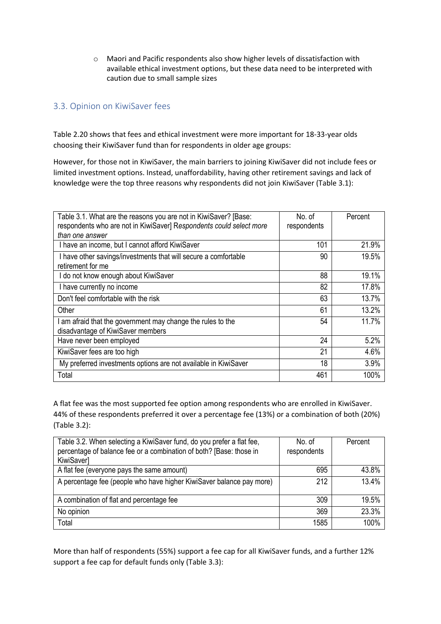o Maori and Pacific respondents also show higher levels of dissatisfaction with available ethical investment options, but these data need to be interpreted with caution due to small sample sizes

### 3.3. Opinion on KiwiSaver fees

Table 2.20 shows that fees and ethical investment were more important for 18-33-year olds choosing their KiwiSaver fund than for respondents in older age groups:

However, for those not in KiwiSaver, the main barriers to joining KiwiSaver did not include fees or limited investment options. Instead, unaffordability, having other retirement savings and lack of knowledge were the top three reasons why respondents did not join KiwiSaver (Table 3.1):

| Table 3.1. What are the reasons you are not in KiwiSaver? [Base:    | No. of      | Percent |
|---------------------------------------------------------------------|-------------|---------|
| respondents who are not in KiwiSaver] Respondents could select more | respondents |         |
| than one answer                                                     |             |         |
| I have an income, but I cannot afford KiwiSaver                     | 101         | 21.9%   |
| I have other savings/investments that will secure a comfortable     | 90          | 19.5%   |
| retirement for me                                                   |             |         |
| I do not know enough about KiwiSaver                                | 88          | 19.1%   |
| I have currently no income                                          | 82          | 17.8%   |
| Don't feel comfortable with the risk                                | 63          | 13.7%   |
| Other                                                               | 61          | 13.2%   |
| am afraid that the government may change the rules to the           | 54          | 11.7%   |
| disadvantage of KiwiSaver members                                   |             |         |
| Have never been employed                                            | 24          | 5.2%    |
| KiwiSaver fees are too high                                         | 21          | 4.6%    |
| My preferred investments options are not available in KiwiSaver     | 18          | 3.9%    |
| Total                                                               | 461         | 100%    |

A flat fee was the most supported fee option among respondents who are enrolled in KiwiSaver. 44% of these respondents preferred it over a percentage fee (13%) or a combination of both (20%) (Table 3.2):

| Table 3.2. When selecting a KiwiSaver fund, do you prefer a flat fee,<br>percentage of balance fee or a combination of both? [Base: those in<br>KiwiSaver] | No. of<br>respondents | Percent |
|------------------------------------------------------------------------------------------------------------------------------------------------------------|-----------------------|---------|
|                                                                                                                                                            |                       |         |
| A flat fee (everyone pays the same amount)                                                                                                                 | 695                   | 43.8%   |
| A percentage fee (people who have higher KiwiSaver balance pay more)                                                                                       | 212                   | 13.4%   |
| A combination of flat and percentage fee                                                                                                                   | 309                   | 19.5%   |
| No opinion                                                                                                                                                 | 369                   | 23.3%   |
| Total                                                                                                                                                      | 1585                  | 100%    |

More than half of respondents (55%) support a fee cap for all KiwiSaver funds, and a further 12% support a fee cap for default funds only (Table 3.3):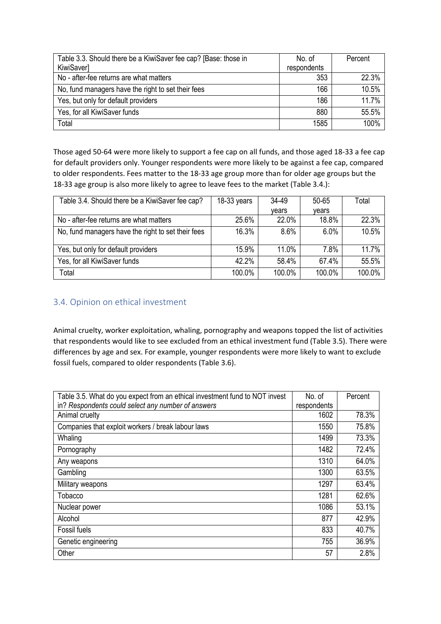| Table 3.3. Should there be a KiwiSaver fee cap? [Base: those in | No. of      | Percent |
|-----------------------------------------------------------------|-------------|---------|
| <b>KiwiSaver]</b>                                               | respondents |         |
| No - after-fee returns are what matters                         | 353         | 22.3%   |
| No, fund managers have the right to set their fees              | 166         | 10.5%   |
| Yes, but only for default providers                             | 186         | 11.7%   |
| Yes, for all KiwiSaver funds                                    | 880         | 55.5%   |
| Total                                                           | 1585        | 100%    |

Those aged 50-64 were more likely to support a fee cap on all funds, and those aged 18-33 a fee cap for default providers only. Younger respondents were more likely to be against a fee cap, compared to older respondents. Fees matter to the 18-33 age group more than for older age groups but the 18-33 age group is also more likely to agree to leave fees to the market (Table 3.4.):

| Table 3.4. Should there be a KiwiSaver fee cap?    | $18-33$ years | 34-49   | 50-65   | Total  |
|----------------------------------------------------|---------------|---------|---------|--------|
|                                                    |               | vears   | vears   |        |
| No - after-fee returns are what matters            | 25.6%         | 22.0%   | 18.8%   | 22.3%  |
| No, fund managers have the right to set their fees | 16.3%         | $8.6\%$ | $6.0\%$ | 10.5%  |
| Yes, but only for default providers                | 15.9%         | 11.0%   | 7.8%    | 11.7%  |
| Yes, for all KiwiSaver funds                       | 42.2%         | 58.4%   | 67.4%   | 55.5%  |
| Total                                              | 100.0%        | 100.0%  | 100.0%  | 100.0% |

#### 3.4. Opinion on ethical investment

Animal cruelty, worker exploitation, whaling, pornography and weapons topped the list of activities that respondents would like to see excluded from an ethical investment fund (Table 3.5). There were differences by age and sex. For example, younger respondents were more likely to want to exclude fossil fuels, compared to older respondents (Table 3.6).

| Table 3.5. What do you expect from an ethical investment fund to NOT invest | No. of      | Percent |
|-----------------------------------------------------------------------------|-------------|---------|
| in? Respondents could select any number of answers                          | respondents |         |
| Animal cruelty                                                              | 1602        | 78.3%   |
| Companies that exploit workers / break labour laws                          | 1550        | 75.8%   |
| Whaling                                                                     | 1499        | 73.3%   |
| Pornography                                                                 | 1482        | 72.4%   |
| Any weapons                                                                 | 1310        | 64.0%   |
| Gambling                                                                    | 1300        | 63.5%   |
| Military weapons                                                            | 1297        | 63.4%   |
| Tobacco                                                                     | 1281        | 62.6%   |
| Nuclear power                                                               | 1086        | 53.1%   |
| Alcohol                                                                     | 877         | 42.9%   |
| <b>Fossil fuels</b>                                                         | 833         | 40.7%   |
| Genetic engineering                                                         | 755         | 36.9%   |
| Other                                                                       | 57          | 2.8%    |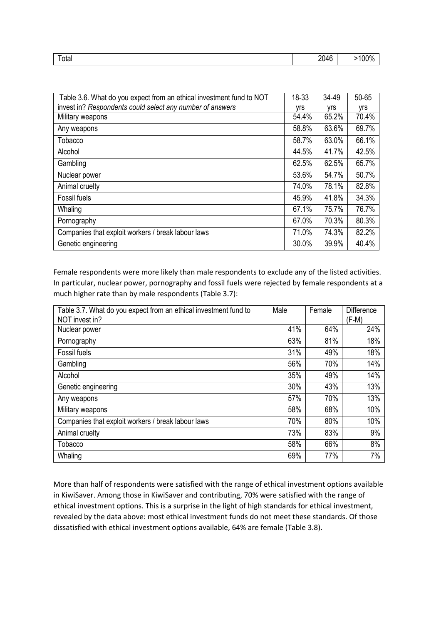| $\sim$<br>otal | ∩∩<br>$\sim$<br>. I4F<br>- rv<br>∼∽ | `ባ% |
|----------------|-------------------------------------|-----|
|                |                                     |     |

| Table 3.6. What do you expect from an ethical investment fund to NOT | 18-33 | 34-49 | 50-65      |
|----------------------------------------------------------------------|-------|-------|------------|
| invest in? Respondents could select any number of answers            | vrs   | yrs   | <b>Vrs</b> |
| Military weapons                                                     | 54.4% | 65.2% | 70.4%      |
| Any weapons                                                          | 58.8% | 63.6% | 69.7%      |
| Tobacco                                                              | 58.7% | 63.0% | 66.1%      |
| Alcohol                                                              | 44.5% | 41.7% | 42.5%      |
| Gambling                                                             | 62.5% | 62.5% | 65.7%      |
| Nuclear power                                                        | 53.6% | 54.7% | 50.7%      |
| Animal cruelty                                                       | 74.0% | 78.1% | 82.8%      |
| Fossil fuels                                                         | 45.9% | 41.8% | 34.3%      |
| Whaling                                                              | 67.1% | 75.7% | 76.7%      |
| Pornography                                                          | 67.0% | 70.3% | 80.3%      |
| Companies that exploit workers / break labour laws                   | 71.0% | 74.3% | 82.2%      |
| Genetic engineering                                                  | 30.0% | 39.9% | 40.4%      |

Female respondents were more likely than male respondents to exclude any of the listed activities. In particular, nuclear power, pornography and fossil fuels were rejected by female respondents at a much higher rate than by male respondents (Table 3.7):

| Table 3.7. What do you expect from an ethical investment fund to<br>NOT invest in? | Male | Female | <b>Difference</b><br>$(F-M)$ |
|------------------------------------------------------------------------------------|------|--------|------------------------------|
| Nuclear power                                                                      | 41%  | 64%    | 24%                          |
| Pornography                                                                        | 63%  | 81%    | 18%                          |
| Fossil fuels                                                                       | 31%  | 49%    | 18%                          |
| Gambling                                                                           | 56%  | 70%    | 14%                          |
| Alcohol                                                                            | 35%  | 49%    | 14%                          |
| Genetic engineering                                                                | 30%  | 43%    | 13%                          |
| Any weapons                                                                        | 57%  | 70%    | 13%                          |
| Military weapons                                                                   | 58%  | 68%    | 10%                          |
| Companies that exploit workers / break labour laws                                 | 70%  | 80%    | 10%                          |
| Animal cruelty                                                                     | 73%  | 83%    | 9%                           |
| Tobacco                                                                            | 58%  | 66%    | 8%                           |
| Whaling                                                                            | 69%  | 77%    | 7%                           |

More than half of respondents were satisfied with the range of ethical investment options available in KiwiSaver. Among those in KiwiSaver and contributing, 70% were satisfied with the range of ethical investment options. This is a surprise in the light of high standards for ethical investment, revealed by the data above: most ethical investment funds do not meet these standards. Of those dissatisfied with ethical investment options available, 64% are female (Table 3.8).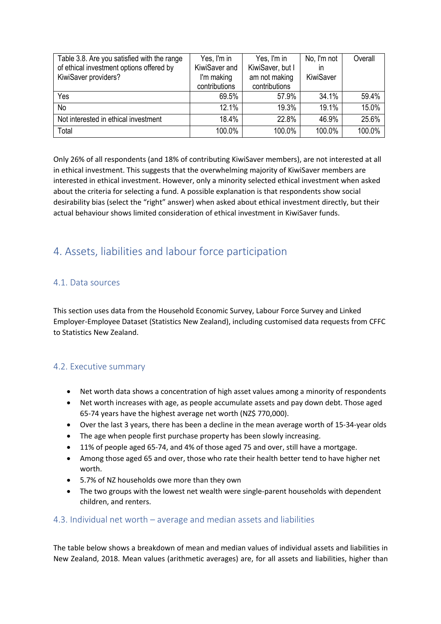| Table 3.8. Are you satisfied with the range | Yes, I'm in   | Yes, I'm in      | No, I'm not | Overall |
|---------------------------------------------|---------------|------------------|-------------|---------|
| of ethical investment options offered by    | KiwiSaver and | KiwiSaver, but I | in          |         |
| KiwiSaver providers?                        | I'm making    | am not making    | KiwiSaver   |         |
|                                             | contributions | contributions    |             |         |
| Yes                                         | 69.5%         | 57.9%            | 34.1%       | 59.4%   |
| <b>No</b>                                   | 12.1%         | 19.3%            | 19.1%       | 15.0%   |
| Not interested in ethical investment        | 18.4%         | 22.8%            | 46.9%       | 25.6%   |
| Total                                       | 100.0%        | 100.0%           | 100.0%      | 100.0%  |

Only 26% of all respondents (and 18% of contributing KiwiSaver members), are not interested at all in ethical investment. This suggests that the overwhelming majority of KiwiSaver members are interested in ethical investment. However, only a minority selected ethical investment when asked about the criteria for selecting a fund. A possible explanation is that respondents show social desirability bias (select the "right" answer) when asked about ethical investment directly, but their actual behaviour shows limited consideration of ethical investment in KiwiSaver funds.

# 4. Assets, liabilities and labour force participation

#### 4.1. Data sources

This section uses data from the Household Economic Survey, Labour Force Survey and Linked Employer-Employee Dataset (Statistics New Zealand), including customised data requests from CFFC to Statistics New Zealand.

## 4.2. Executive summary

- Net worth data shows a concentration of high asset values among a minority of respondents
- Net worth increases with age, as people accumulate assets and pay down debt. Those aged 65-74 years have the highest average net worth (NZ\$ 770,000).
- Over the last 3 years, there has been a decline in the mean average worth of 15-34-year olds
- The age when people first purchase property has been slowly increasing.
- 11% of people aged 65-74, and 4% of those aged 75 and over, still have a mortgage.
- Among those aged 65 and over, those who rate their health better tend to have higher net worth.
- 5.7% of NZ households owe more than they own
- The two groups with the lowest net wealth were single-parent households with dependent children, and renters.

#### 4.3. Individual net worth – average and median assets and liabilities

The table below shows a breakdown of mean and median values of individual assets and liabilities in New Zealand, 2018. Mean values (arithmetic averages) are, for all assets and liabilities, higher than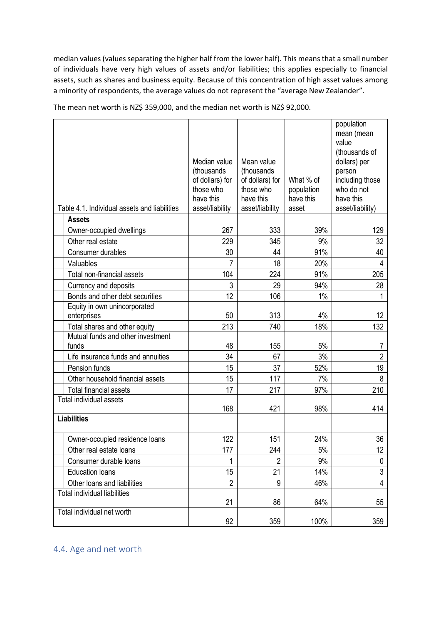median values (values separating the higher half from the lower half). This means that a small number of individuals have very high values of assets and/or liabilities; this applies especially to financial assets, such as shares and business equity. Because of this concentration of high asset values among a minority of respondents, the average values do not represent the "average New Zealander".

|                                                               | Median value<br>(thousands)<br>of dollars) for<br>those who<br>have this | Mean value<br>(thousands<br>of dollars) for<br>those who<br>have this | What % of<br>population<br>have this | population<br>mean (mean<br>value<br>(thousands of<br>dollars) per<br>person<br>including those<br>who do not<br>have this |
|---------------------------------------------------------------|--------------------------------------------------------------------------|-----------------------------------------------------------------------|--------------------------------------|----------------------------------------------------------------------------------------------------------------------------|
| Table 4.1. Individual assets and liabilities<br><b>Assets</b> | asset/liability                                                          | asset/liability                                                       | asset                                | asset/liability)                                                                                                           |
| Owner-occupied dwellings                                      | 267                                                                      | 333                                                                   | 39%                                  | 129                                                                                                                        |
| Other real estate                                             | 229                                                                      | 345                                                                   | 9%                                   | 32                                                                                                                         |
| Consumer durables                                             | 30                                                                       | 44                                                                    | 91%                                  | 40                                                                                                                         |
| Valuables                                                     | $\overline{7}$                                                           | 18                                                                    | 20%                                  | 4                                                                                                                          |
| Total non-financial assets                                    | 104                                                                      | 224                                                                   | 91%                                  | 205                                                                                                                        |
| Currency and deposits                                         | 3                                                                        | 29                                                                    | 94%                                  | 28                                                                                                                         |
| Bonds and other debt securities                               | 12                                                                       | 106                                                                   | 1%                                   | 1                                                                                                                          |
| Equity in own unincorporated                                  |                                                                          |                                                                       |                                      |                                                                                                                            |
| enterprises                                                   | 50                                                                       | 313                                                                   | 4%                                   | 12                                                                                                                         |
| Total shares and other equity                                 | 213                                                                      | 740                                                                   | 18%                                  | 132                                                                                                                        |
| Mutual funds and other investment                             |                                                                          |                                                                       |                                      |                                                                                                                            |
| funds                                                         | 48                                                                       | 155                                                                   | 5%                                   | 7                                                                                                                          |
| Life insurance funds and annuities                            | 34                                                                       | 67                                                                    | 3%                                   | $\overline{2}$                                                                                                             |
| Pension funds                                                 | 15                                                                       | 37                                                                    | 52%                                  | 19                                                                                                                         |
| Other household financial assets                              | 15                                                                       | 117                                                                   | 7%                                   | 8                                                                                                                          |
| <b>Total financial assets</b>                                 | 17                                                                       | 217                                                                   | 97%                                  | 210                                                                                                                        |
| Total individual assets                                       | 168                                                                      | 421                                                                   | 98%                                  | 414                                                                                                                        |
| <b>Liabilities</b>                                            |                                                                          |                                                                       |                                      |                                                                                                                            |
|                                                               |                                                                          |                                                                       |                                      |                                                                                                                            |
| Owner-occupied residence loans                                | 122                                                                      | 151                                                                   | 24%                                  | 36                                                                                                                         |
| Other real estate loans                                       | 177                                                                      | 244                                                                   | $5\%$                                | 12                                                                                                                         |
| Consumer durable loans                                        | 1                                                                        | 2                                                                     | 9%                                   | 0                                                                                                                          |
| <b>Education loans</b>                                        | 15                                                                       | 21                                                                    | 14%                                  | 3                                                                                                                          |
| Other loans and liabilities                                   | $\overline{2}$                                                           | 9                                                                     | 46%                                  | 4                                                                                                                          |
| <b>Total individual liabilities</b>                           |                                                                          |                                                                       |                                      |                                                                                                                            |
|                                                               | 21                                                                       | 86                                                                    | 64%                                  | 55                                                                                                                         |
| Total individual net worth                                    | 92                                                                       | 359                                                                   | 100%                                 | 359                                                                                                                        |

The mean net worth is NZ\$ 359,000, and the median net worth is NZ\$ 92,000.

# 4.4. Age and net worth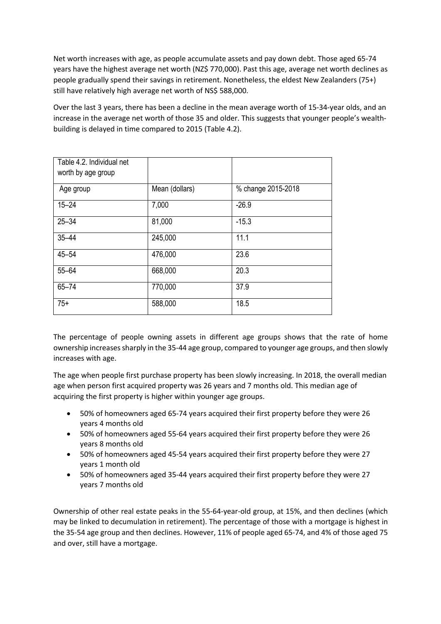Net worth increases with age, as people accumulate assets and pay down debt. Those aged 65-74 years have the highest average net worth (NZ\$ 770,000). Past this age, average net worth declines as people gradually spend their savings in retirement. Nonetheless, the eldest New Zealanders (75+) still have relatively high average net worth of NS\$ 588,000.

Over the last 3 years, there has been a decline in the mean average worth of 15-34-year olds, and an increase in the average net worth of those 35 and older. This suggests that younger people's wealthbuilding is delayed in time compared to 2015 (Table 4.2).

| Table 4.2. Individual net<br>worth by age group |                |                    |
|-------------------------------------------------|----------------|--------------------|
| Age group                                       | Mean (dollars) | % change 2015-2018 |
| $15 - 24$                                       | 7,000          | $-26.9$            |
| $25 - 34$                                       | 81,000         | $-15.3$            |
| $35 - 44$                                       | 245,000        | 11.1               |
| $45 - 54$                                       | 476,000        | 23.6               |
| $55 - 64$                                       | 668,000        | 20.3               |
| $65 - 74$                                       | 770,000        | 37.9               |
| $75+$                                           | 588,000        | 18.5               |

The percentage of people owning assets in different age groups shows that the rate of home ownership increases sharply in the 35-44 age group, compared to younger age groups, and then slowly increases with age.

The age when people first purchase property has been slowly increasing. In 2018, the overall median age when person first acquired property was 26 years and 7 months old. This median age of acquiring the first property is higher within younger age groups.

- 50% of homeowners aged 65-74 years acquired their first property before they were 26 years 4 months old
- 50% of homeowners aged 55-64 years acquired their first property before they were 26 years 8 months old
- 50% of homeowners aged 45-54 years acquired their first property before they were 27 years 1 month old
- 50% of homeowners aged 35-44 years acquired their first property before they were 27 years 7 months old

Ownership of other real estate peaks in the 55-64-year-old group, at 15%, and then declines (which may be linked to decumulation in retirement). The percentage of those with a mortgage is highest in the 35-54 age group and then declines. However, 11% of people aged 65-74, and 4% of those aged 75 and over, still have a mortgage.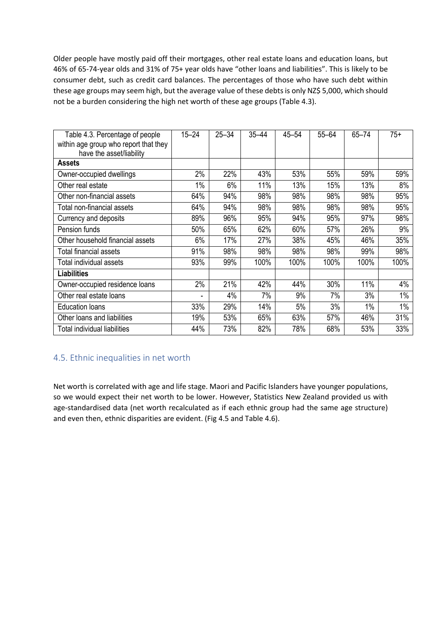Older people have mostly paid off their mortgages, other real estate loans and education loans, but 46% of 65-74-year olds and 31% of 75+ year olds have "other loans and liabilities". This is likely to be consumer debt, such as credit card balances. The percentages of those who have such debt within these age groups may seem high, but the average value of these debts is only NZ\$ 5,000, which should not be a burden considering the high net worth of these age groups (Table 4.3).

| Table 4.3. Percentage of people<br>within age group who report that they<br>have the asset/liability | $15 - 24$ | $25 - 34$ | $35 - 44$ | $45 - 54$ | $55 - 64$ | 65-74 | $75+$ |
|------------------------------------------------------------------------------------------------------|-----------|-----------|-----------|-----------|-----------|-------|-------|
| <b>Assets</b>                                                                                        |           |           |           |           |           |       |       |
| Owner-occupied dwellings                                                                             | 2%        | 22%       | 43%       | 53%       | 55%       | 59%   | 59%   |
| Other real estate                                                                                    | 1%        | 6%        | 11%       | 13%       | 15%       | 13%   | 8%    |
| Other non-financial assets                                                                           | 64%       | 94%       | 98%       | 98%       | 98%       | 98%   | 95%   |
| Total non-financial assets                                                                           | 64%       | 94%       | 98%       | 98%       | 98%       | 98%   | 95%   |
| Currency and deposits                                                                                | 89%       | 96%       | 95%       | 94%       | 95%       | 97%   | 98%   |
| Pension funds                                                                                        | 50%       | 65%       | 62%       | 60%       | 57%       | 26%   | 9%    |
| Other household financial assets                                                                     | 6%        | 17%       | 27%       | 38%       | 45%       | 46%   | 35%   |
| Total financial assets                                                                               | 91%       | 98%       | 98%       | 98%       | 98%       | 99%   | 98%   |
| Total individual assets                                                                              | 93%       | 99%       | 100%      | 100%      | 100%      | 100%  | 100%  |
| <b>Liabilities</b>                                                                                   |           |           |           |           |           |       |       |
| Owner-occupied residence loans                                                                       | 2%        | 21%       | 42%       | 44%       | 30%       | 11%   | 4%    |
| Other real estate loans                                                                              |           | 4%        | 7%        | 9%        | 7%        | 3%    | 1%    |
| <b>Education loans</b>                                                                               | 33%       | 29%       | 14%       | 5%        | 3%        | 1%    | 1%    |
| Other loans and liabilities                                                                          | 19%       | 53%       | 65%       | 63%       | 57%       | 46%   | 31%   |
| Total individual liabilities                                                                         | 44%       | 73%       | 82%       | 78%       | 68%       | 53%   | 33%   |

# 4.5. Ethnic inequalities in net worth

Net worth is correlated with age and life stage. Maori and Pacific Islanders have younger populations, so we would expect their net worth to be lower. However, Statistics New Zealand provided us with age-standardised data (net worth recalculated as if each ethnic group had the same age structure) and even then, ethnic disparities are evident. (Fig 4.5 and Table 4.6).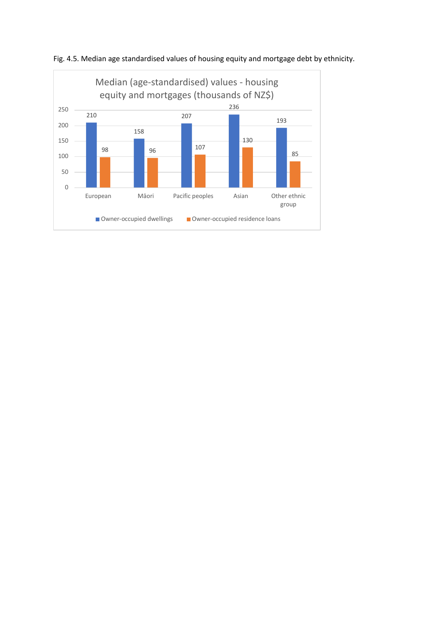

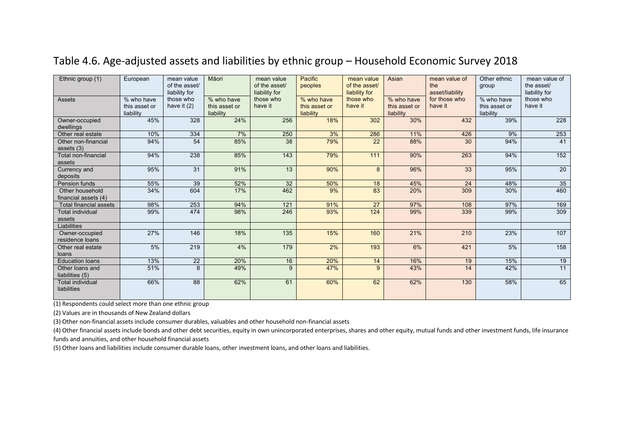| Ethnic group (1)                        | European                                 | mean value<br>of the asset/<br>liability for | Māori                                    | mean value<br>of the asset/<br>liability for | Pacific<br>peoples                       | mean value<br>of the asset/<br>liability for | Asian                                    | mean value of<br>the<br>asset/liability | Other ethnic<br>group                    | mean value of<br>the asset/<br>liability for |
|-----------------------------------------|------------------------------------------|----------------------------------------------|------------------------------------------|----------------------------------------------|------------------------------------------|----------------------------------------------|------------------------------------------|-----------------------------------------|------------------------------------------|----------------------------------------------|
| Assets                                  | % who have<br>this asset or<br>liability | those who<br>have it $(2)$                   | % who have<br>this asset or<br>liability | those who<br>have it                         | % who have<br>this asset or<br>liability | those who<br>have it                         | % who have<br>this asset or<br>liability | for those who<br>have it                | % who have<br>this asset or<br>liability | those who<br>have it                         |
| Owner-occupied<br>dwellings             | 45%                                      | 328                                          | 24%                                      | 256                                          | 18%                                      | 302                                          | 30%                                      | 432                                     | 39%                                      | 228                                          |
| Other real estate                       | 10%                                      | 334                                          | 7%                                       | 250                                          | 3%                                       | 286                                          | 11%                                      | 426                                     | 9%                                       | 253                                          |
| Other non-financial<br>assets $(3)$     | 94%                                      | 54                                           | 85%                                      | 38                                           | 79%                                      | 22                                           | 88%                                      | 30                                      | 94%                                      | 41                                           |
| Total non-financial<br>assets           | 94%                                      | 238                                          | 85%                                      | $\frac{143}{ }$                              | 79%                                      | 111                                          | 90%                                      | 263                                     | 94%                                      | 152                                          |
| Currency and<br>deposits                | 95%                                      | 31                                           | 91%                                      | 13                                           | 90%                                      | 8                                            | 96%                                      | 33                                      | 95%                                      | 20                                           |
| Pension funds                           | 55%                                      | 39                                           | 52%                                      | 32                                           | 50%                                      | 18                                           | 45%                                      | 24                                      | 48%                                      | $\overline{35}$                              |
| Other household<br>financial assets (4) | 34%                                      | 604                                          | 17%                                      | 462                                          | 9%                                       | 83                                           | 20%                                      | 309                                     | 30%                                      | 460                                          |
| <b>Total financial assets</b>           | 98%                                      | 253                                          | 94%                                      | 121                                          | 91%                                      | 27                                           | 97%                                      | 108                                     | 97%                                      | 169                                          |
| <b>Total individual</b><br>assets       | 99%                                      | 474                                          | 98%                                      | 246                                          | 93%                                      | 124                                          | 99%                                      | 339                                     | 99%                                      | 309                                          |
| Liabilities                             |                                          |                                              |                                          |                                              |                                          |                                              |                                          |                                         |                                          |                                              |
| Owner-occupied<br>residence loans       | 27%                                      | 146                                          | 18%                                      | 135                                          | 15%                                      | 160                                          | 21%                                      | 210                                     | 23%                                      | 107                                          |
| Other real estate<br>loans              | 5%                                       | 219                                          | 4%                                       | 179                                          | 2%                                       | 193                                          | 6%                                       | 421                                     | 5%                                       | 158                                          |
| <b>Education loans</b>                  | 13%                                      | 22                                           | 20%                                      | 16                                           | 20%                                      | 14                                           | 16%                                      | 19                                      | 15%                                      | 19                                           |
| Other loans and<br>liabilities (5)      | 51%                                      | 8                                            | 49%                                      | 9                                            | 47%                                      | 9                                            | 43%                                      | 14                                      | 42%                                      | 11                                           |
| <b>Total individual</b><br>liabilities  | 66%                                      | 88                                           | 62%                                      | 61                                           | 60%                                      | 62                                           | 62%                                      | 130                                     | 58%                                      | 65                                           |

# Table 4.6. Age-adjusted assets and liabilities by ethnic group – Household Economic Survey 2018

(1) Respondents could select more than one ethnic group

(2) Values are in thousands of New Zealand dollars

(3) Other non-financial assets include consumer durables, valuables and other household non-financial assets

(4) Other financial assets include bonds and other debt securities, equity in own unincorporated enterprises, shares and other equity, mutual funds and other investment funds, life insurance funds and annuities, and other household financial assets

(5) Other loans and liabilities include consumer durable loans, other investment loans, and other loans and liabilities.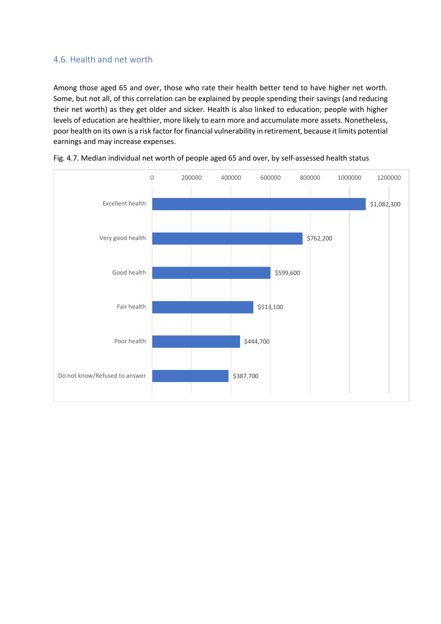#### 4.6. Health and net worth

Among those aged 65 and over, those who rate their health better tend to have higher net worth. Some, but not all, of this correlation can be explained by people spending their savings (and reducing their net worth) as they get older and sicker. Health is also linked to education; people with higher levels of education are healthier, more likely to earn more and accumulate more assets. Nonetheless, poor health on its own is a risk factor for financial vulnerability in retirement, because it limits potential earnings and may increase expenses.



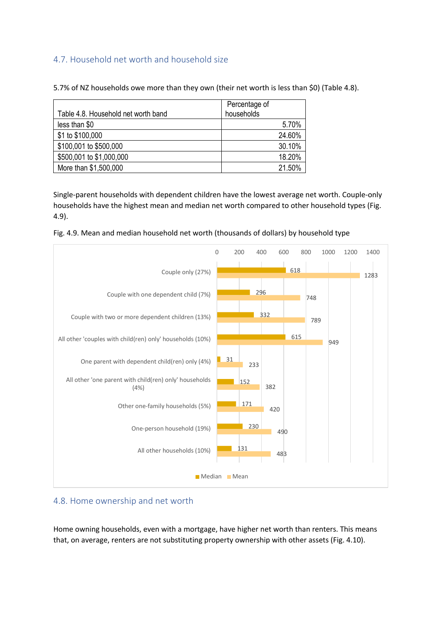### 4.7. Household net worth and household size

| Table 4.8. Household net worth band | Percentage of<br>households |
|-------------------------------------|-----------------------------|
| less than \$0                       | 5.70%                       |
| \$1 to \$100,000                    | 24.60%                      |
| \$100,001 to \$500,000              | 30.10%                      |
| \$500,001 to \$1,000,000            | 18.20%                      |
| More than \$1,500,000               | 21.50%                      |

5.7% of NZ households owe more than they own (their net worth is less than \$0) (Table 4.8).

Single-parent households with dependent children have the lowest average net worth. Couple-only households have the highest mean and median net worth compared to other household types (Fig. 4.9).



Fig. 4.9. Mean and median household net worth (thousands of dollars) by household type

#### 4.8. Home ownership and net worth

Home owning households, even with a mortgage, have higher net worth than renters. This means that, on average, renters are not substituting property ownership with other assets (Fig. 4.10).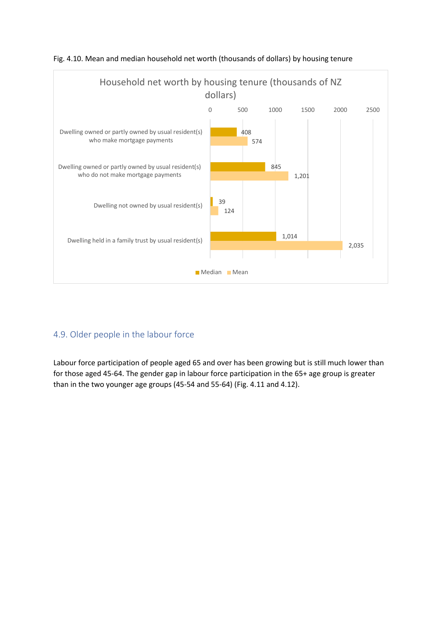

#### Fig. 4.10. Mean and median household net worth (thousands of dollars) by housing tenure

# 4.9. Older people in the labour force

Labour force participation of people aged 65 and over has been growing but is still much lower than for those aged 45-64. The gender gap in labour force participation in the 65+ age group is greater than in the two younger age groups (45-54 and 55-64) (Fig. 4.11 and 4.12).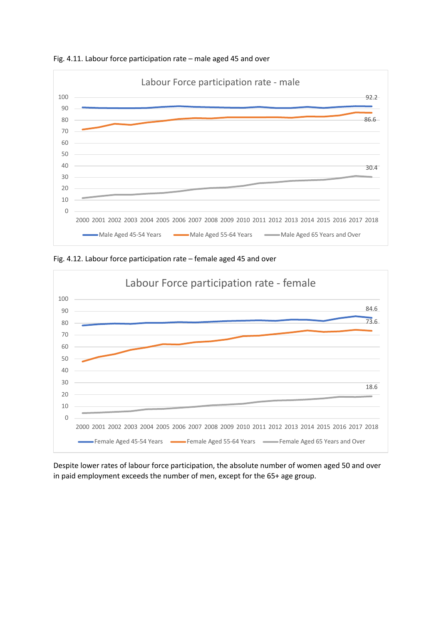

Fig. 4.11. Labour force participation rate – male aged 45 and over





Despite lower rates of labour force participation, the absolute number of women aged 50 and over in paid employment exceeds the number of men, except for the 65+ age group.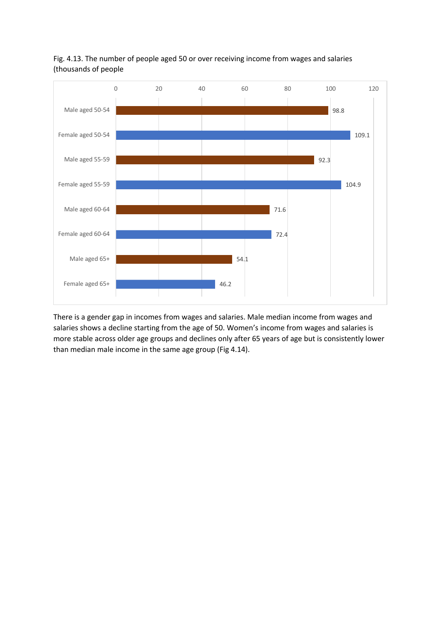

Fig. 4.13. The number of people aged 50 or over receiving income from wages and salaries (thousands of people

There is a gender gap in incomes from wages and salaries. Male median income from wages and salaries shows a decline starting from the age of 50. Women's income from wages and salaries is more stable across older age groups and declines only after 65 years of age but is consistently lower than median male income in the same age group (Fig 4.14).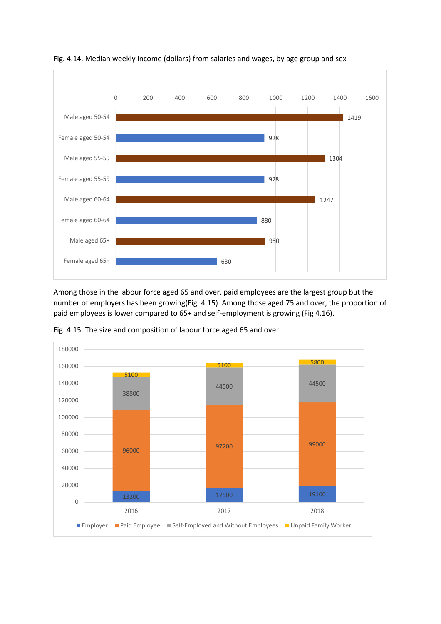

Fig. 4.14. Median weekly income (dollars) from salaries and wages, by age group and sex

Among those in the labour force aged 65 and over, paid employees are the largest group but the number of employers has been growing(Fig. 4.15). Among those aged 75 and over, the proportion of paid employees is lower compared to 65+ and self-employment is growing (Fig 4.16).



Fig. 4.15. The size and composition of labour force aged 65 and over.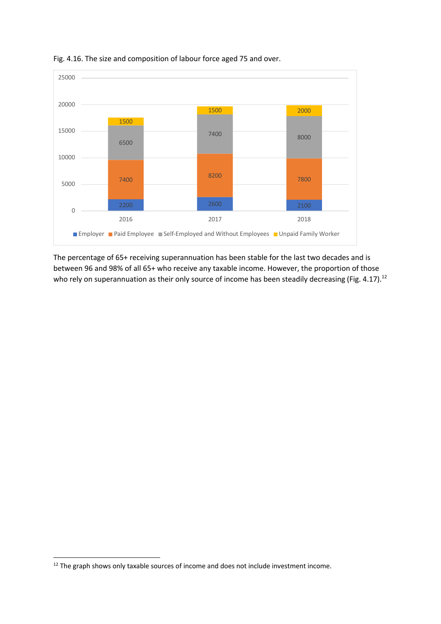

Fig. 4.16. The size and composition of labour force aged 75 and over.

The percentage of 65+ receiving superannuation has been stable for the last two decades and is between 96 and 98% of all 65+ who receive any taxable income. However, the proportion of those who rely on superannuation as their only source of income has been steadily decreasing (Fig. 4.17).<sup>12</sup>

<sup>&</sup>lt;sup>12</sup> The graph shows only taxable sources of income and does not include investment income.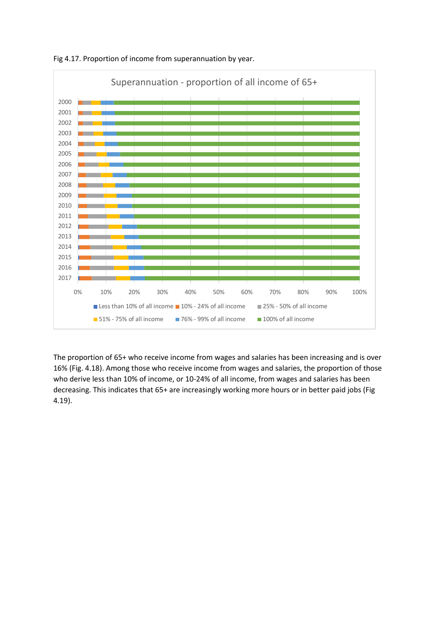

Fig 4.17. Proportion of income from superannuation by year.

The proportion of 65+ who receive income from wages and salaries has been increasing and is over 16% (Fig. 4.18). Among those who receive income from wages and salaries, the proportion of those who derive less than 10% of income, or 10-24% of all income, from wages and salaries has been decreasing. This indicates that 65+ are increasingly working more hours or in better paid jobs (Fig 4.19).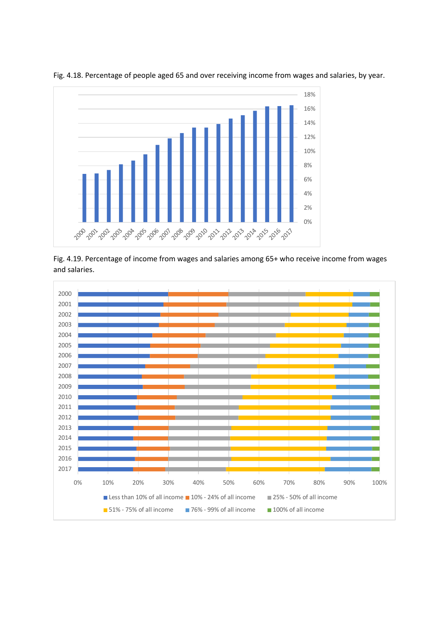

Fig. 4.18. Percentage of people aged 65 and over receiving income from wages and salaries, by year.

Fig. 4.19. Percentage of income from wages and salaries among 65+ who receive income from wages and salaries.